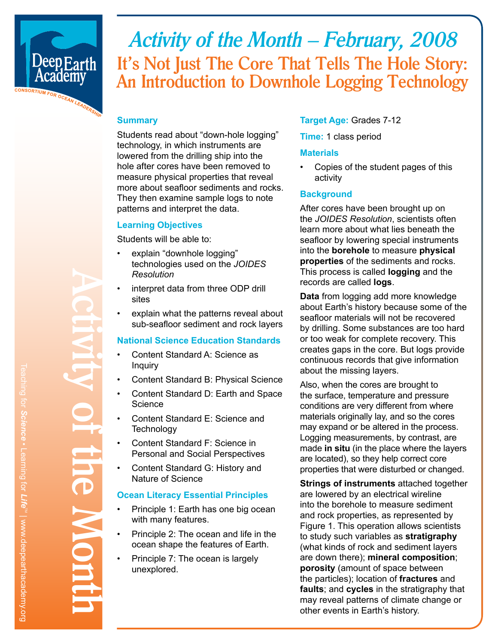

# *Activity of the Month – February, 2008* **It's Not Just The Core That Tells The Hole Story: An Introduction to Downhole Logging Technology**

#### **Summary**

Students read about "down-hole logging" technology, in which instruments are lowered from the drilling ship into the hole after cores have been removed to measure physical properties that reveal more about seafloor sediments and rocks. They then examine sample logs to note patterns and interpret the data.

#### **Learning Objectives**

Students will be able to:

- explain "downhole logging" technologies used on the *JOIDES Resolution*
- interpret data from three ODP drill sites
- explain what the patterns reveal about sub-seafloor sediment and rock layers

#### **National Science Education Standards**

- Content Standard A: Science as Inquiry
- Content Standard B: Physical Science
- Content Standard D: Earth and Space **Science**
- Content Standard E: Science and **Technology**
- Content Standard F: Science in Personal and Social Perspectives
- Content Standard G: History and Nature of Science

#### **Ocean Literacy Essential Principles**

- Principle 1: Earth has one big ocean with many features.
- Principle 2: The ocean and life in the ocean shape the features of Earth.
- Principle 7: The ocean is largely unexplored.

#### **Target Age:** Grades 7-12

**Time:** 1 class period

#### **Materials**

• Copies of the student pages of this activity

#### **Background**

After cores have been brought up on the *JOIDES Resolution*, scientists often learn more about what lies beneath the seafloor by lowering special instruments into the **borehole** to measure **physical properties** of the sediments and rocks. This process is called **logging** and the records are called **logs**.

**Data** from logging add more knowledge about Earth's history because some of the seafloor materials will not be recovered by drilling. Some substances are too hard or too weak for complete recovery. This creates gaps in the core. But logs provide continuous records that give information about the missing layers.

Also, when the cores are brought to the surface, temperature and pressure conditions are very different from where materials originally lay, and so the cores may expand or be altered in the process. Logging measurements, by contrast, are made **in situ** (in the place where the layers are located), so they help correct core properties that were disturbed or changed.

**Strings of instruments** attached together are lowered by an electrical wireline into the borehole to measure sediment and rock properties, as represented by Figure 1. This operation allows scientists to study such variables as **stratigraphy** (what kinds of rock and sediment layers are down there); **mineral composition**; **porosity** (amount of space between the particles); location of **fractures** and **faults**; and **cycles** in the stratigraphy that may reveal patterns of climate change or other events in Earth's history.

**Activity of the Month**

JU.

**NOTE**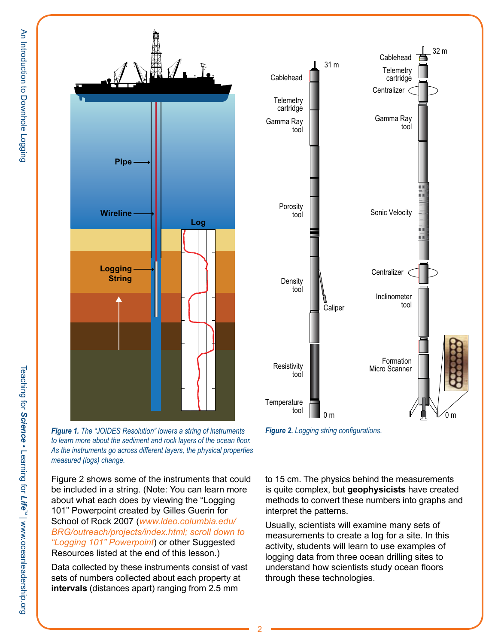



*Figure 2. Logging string configurations.*

*to learn more about the sediment and rock layers of the ocean floor. As the instruments go across different layers, the physical properties measured (logs) change.*

Figure 2 shows some of the instruments that could be included in a string. (Note: You can learn more about what each does by viewing the "Logging 101" Powerpoint created by Gilles Guerin for School of Rock 2007 (*www.ldeo.columbia.edu/ BRG/outreach/projects/index.html; scroll down to "Logging 101" Powerpoint*) or other Suggested Resources listed at the end of this lesson.)

Data collected by these instruments consist of vast sets of numbers collected about each property at **intervals** (distances apart) ranging from 2.5 mm

to 15 cm. The physics behind the measurements is quite complex, but **geophysicists** have created methods to convert these numbers into graphs and interpret the patterns.

Usually, scientists will examine many sets of measurements to create a log for a site. In this activity, students will learn to use examples of logging data from three ocean drilling sites to understand how scientists study ocean floors through these technologies.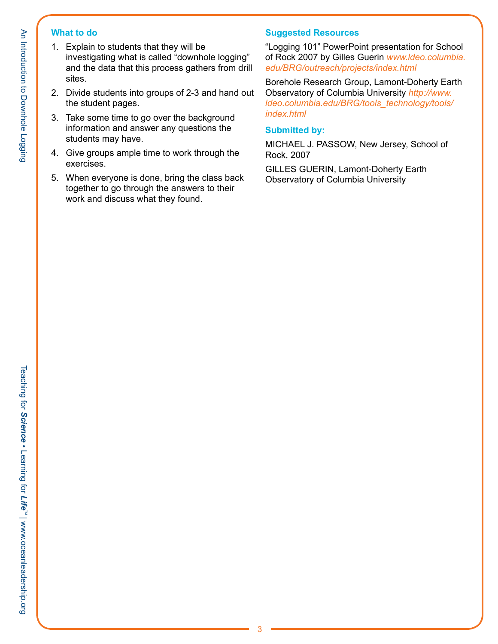#### **What to do**

- 1. Explain to students that they will be investigating what is called "downhole logging" and the data that this process gathers from drill sites.
- 2. Divide students into groups of 2-3 and hand out the student pages.
- 3. Take some time to go over the background information and answer any questions the students may have.
- 4. Give groups ample time to work through the exercises.
- 5. When everyone is done, bring the class back together to go through the answers to their work and discuss what they found.

### **Suggested Resources**

"Logging 101" PowerPoint presentation for School of Rock 2007 by Gilles Guerin *www.ldeo.columbia. edu/BRG/outreach/projects/index.html*

Borehole Research Group, Lamont-Doherty Earth Observatory of Columbia University *http://www. ldeo.columbia.edu/BRG/tools\_technology/tools/ index.html*

#### **Submitted by:**

MICHAEL J. PASSOW, New Jersey, School of Rock, 2007

GILLES GUERIN, Lamont-Doherty Earth Observatory of Columbia University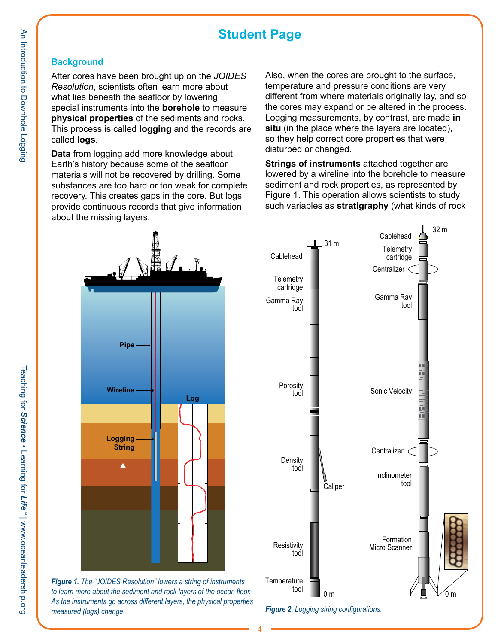## **Student Page**

#### **Background**

After cores have been brought up on the *JOIDES Resolution*, scientists often learn more about what lies beneath the seafloor by lowering special instruments into the **borehole** to measure **physical properties** of the sediments and rocks. This process is called **logging** and the records are called **logs**.

**Data** from logging add more knowledge about Earth's history because some of the seafloor materials will not be recovered by drilling. Some substances are too hard or too weak for complete recovery. This creates gaps in the core. But logs provide continuous records that give information about the missing layers.

Also, when the cores are brought to the surface, temperature and pressure conditions are very different from where materials originally lay, and so the cores may expand or be altered in the process. Logging measurements, by contrast, are made **in situ** (in the place where the layers are located), so they help correct core properties that were disturbed or changed.

**Strings of instruments** attached together are lowered by a wireline into the borehole to measure sediment and rock properties, as represented by Figure 1. This operation allows scientists to study such variables as **stratigraphy** (what kinds of rock



*Figure 1. The "JOIDES Resolution" lowers a string of instruments to learn more about the sediment and rock layers of the ocean floor. As the instruments go across different layers, the physical properties measured (logs) change.*

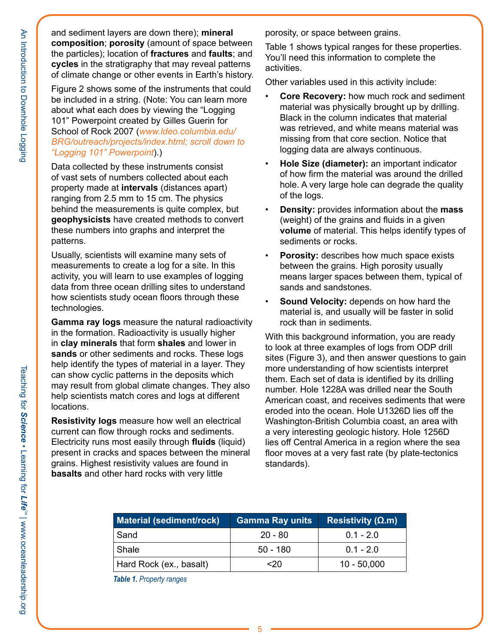An Introduction to Downhole Logging

and sediment layers are down there); **mineral composition**; **porosity** (amount of space between the particles); location of **fractures** and **faults**; and **cycles** in the stratigraphy that may reveal patterns of climate change or other events in Earth's history.

Figure 2 shows some of the instruments that could be included in a string. (Note: You can learn more about what each does by viewing the "Logging 101" Powerpoint created by Gilles Guerin for School of Rock 2007 (*www.ldeo.columbia.edu/ BRG/outreach/projects/index.html; scroll down to "Logging 101" Powerpoint*).)

Data collected by these instruments consist of vast sets of numbers collected about each property made at **intervals** (distances apart) ranging from 2.5 mm to 15 cm. The physics behind the measurements is quite complex, but **geophysicists** have created methods to convert these numbers into graphs and interpret the patterns.

Usually, scientists will examine many sets of measurements to create a log for a site. In this activity, you will learn to use examples of logging data from three ocean drilling sites to understand how scientists study ocean floors through these technologies.

**Gamma ray logs** measure the natural radioactivity in the formation. Radioactivity is usually higher in **clay minerals** that form **shales** and lower in **sands** or other sediments and rocks. These logs help identify the types of material in a layer. They can show cyclic patterns in the deposits which may result from global climate changes. They also help scientists match cores and logs at different locations.

**Resistivity logs** measure how well an electrical current can flow through rocks and sediments. Electricity runs most easily through **fluids** (liquid) present in cracks and spaces between the mineral grains. Highest resistivity values are found in **basalts** and other hard rocks with very little

porosity, or space between grains.

Table 1 shows typical ranges for these properties. You'll need this information to complete the activities.

Other variables used in this activity include:

- **Core Recovery:** how much rock and sediment material was physically brought up by drilling. Black in the column indicates that material was retrieved, and white means material was missing from that core section. Notice that logging data are always continuous.
- **Hole Size (diameter):** an important indicator of how firm the material was around the drilled hole. A very large hole can degrade the quality of the logs.
- **Density:** provides information about the **mass** (weight) of the grains and fluids in a given **volume** of material. This helps identify types of sediments or rocks.
- **Porosity:** describes how much space exists between the grains. High porosity usually means larger spaces between them, typical of sands and sandstones.
- **Sound Velocity:** depends on how hard the material is, and usually will be faster in solid rock than in sediments.

With this background information, you are ready to look at three examples of logs from ODP drill sites (Figure 3), and then answer questions to gain more understanding of how scientists interpret them. Each set of data is identified by its drilling number. Hole 1228A was drilled near the South American coast, and receives sediments that were eroded into the ocean. Hole U1326D lies off the Washington-British Columbia coast, an area with a very interesting geologic history. Hole 1256D lies off Central America in a region where the sea floor moves at a very fast rate (by plate-tectonics standards).

| <b>Material (sediment/rock)</b> | <b>Gamma Ray units</b> | Resistivity $(\Omega.m)$ |
|---------------------------------|------------------------|--------------------------|
| Sand                            | $20 - 80$              | $0.1 - 2.0$              |
| Shale                           | $50 - 180$             | $0.1 - 2.0$              |
| Hard Rock (ex., basalt)         | <20                    | $10 - 50,000$            |

*Table 1. Property ranges*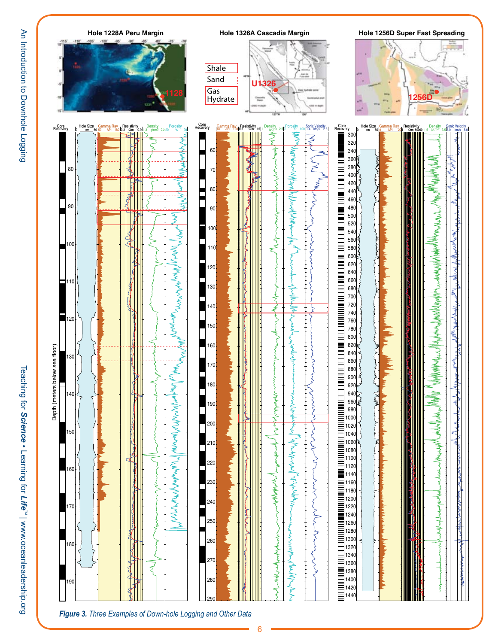Teaching for

*Science*

• Learning for

Teaching for Science . Learning for Life<sup>rw</sup> | www.oceanleadership.org



*Figure 3. Three Examples of Down-hole Logging and Other Data*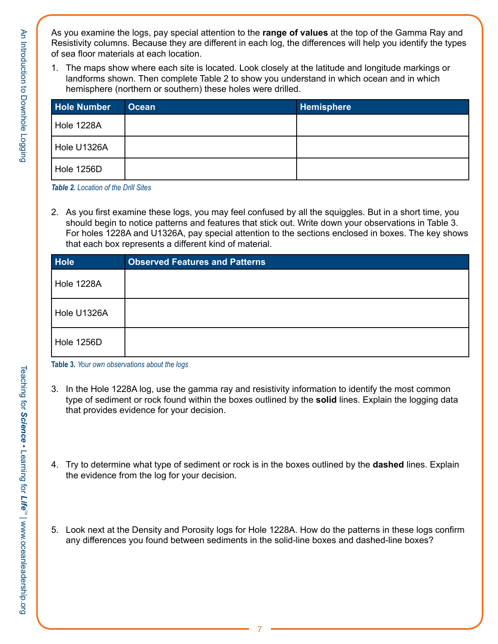As you examine the logs, pay special attention to the **range of values** at the top of the Gamma Ray and Resistivity columns. Because they are different in each log, the differences will help you identify the types of sea floor materials at each location.

1. The maps show where each site is located. Look closely at the latitude and longitude markings or landforms shown. Then complete Table 2 to show you understand in which ocean and in which hemisphere (northern or southern) these holes were drilled.

| <b>Hole Number</b> | <b>Ocean</b> | Hemisphere |
|--------------------|--------------|------------|
| Hole 1228A         |              |            |
| Hole U1326A        |              |            |
| Hole 1256D         |              |            |

*Table 2. Location of the Drill Sites*

2. As you first examine these logs, you may feel confused by all the squiggles. But in a short time, you should begin to notice patterns and features that stick out. Write down your observations in Table 3. For holes 1228A and U1326A, pay special attention to the sections enclosed in boxes. The key shows that each box represents a different kind of material.

| <b>Hole</b> | <b>Observed Features and Patterns</b> |
|-------------|---------------------------------------|
| Hole 1228A  |                                       |
| Hole U1326A |                                       |
| Hole 1256D  |                                       |

**Table 3.** *Your own observations about the logs*

- 3. In the Hole 1228A log, use the gamma ray and resistivity information to identify the most common type of sediment or rock found within the boxes outlined by the **solid** lines. Explain the logging data that provides evidence for your decision.
- 4. Try to determine what type of sediment or rock is in the boxes outlined by the **dashed** lines. Explain the evidence from the log for your decision.
- 5. Look next at the Density and Porosity logs for Hole 1228A. How do the patterns in these logs confirm any differences you found between sediments in the solid-line boxes and dashed-line boxes?